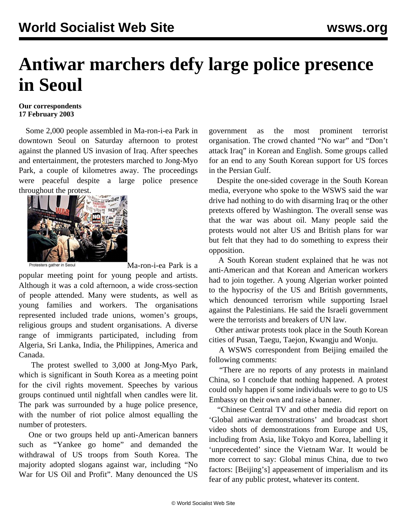## **Antiwar marchers defy large police presence in Seoul**

## **Our correspondents 17 February 2003**

 Some 2,000 people assembled in Ma-ron-i-ea Park in downtown Seoul on Saturday afternoon to protest against the planned US invasion of Iraq. After speeches and entertainment, the protesters marched to Jong-Myo Park, a couple of kilometres away. The proceedings were peaceful despite a large police presence throughout the protest.



Ma-ron-i-ea Park is a

popular meeting point for young people and artists. Although it was a cold afternoon, a wide cross-section of people attended. Many were students, as well as young families and workers. The organisations represented included trade unions, women's groups, religious groups and student organisations. A diverse range of immigrants participated, including from Algeria, Sri Lanka, India, the Philippines, America and Canada.

 The protest swelled to 3,000 at Jong-Myo Park, which is significant in South Korea as a meeting point for the civil rights movement. Speeches by various groups continued until nightfall when candles were lit. The park was surrounded by a huge police presence, with the number of riot police almost equalling the number of protesters.

 One or two groups held up anti-American banners such as "Yankee go home" and demanded the withdrawal of US troops from South Korea. The majority adopted slogans against war, including "No War for US Oil and Profit". Many denounced the US

government as the most prominent terrorist organisation. The crowd chanted "No war" and "Don't attack Iraq" in Korean and English. Some groups called for an end to any South Korean support for US forces in the Persian Gulf.

 Despite the one-sided coverage in the South Korean media, everyone who spoke to the WSWS said the war drive had nothing to do with disarming Iraq or the other pretexts offered by Washington. The overall sense was that the war was about oil. Many people said the protests would not alter US and British plans for war but felt that they had to do something to express their opposition.

 A South Korean student explained that he was not anti-American and that Korean and American workers had to join together. A young Algerian worker pointed to the hypocrisy of the US and British governments, which denounced terrorism while supporting Israel against the Palestinians. He said the Israeli government were the terrorists and breakers of UN law.

 Other antiwar protests took place in the South Korean cities of Pusan, Taegu, Taejon, Kwangju and Wonju.

 A WSWS correspondent from Beijing emailed the following comments:

 "There are no reports of any protests in mainland China, so I conclude that nothing happened. A protest could only happen if some individuals were to go to US Embassy on their own and raise a banner.

 "Chinese Central TV and other media did report on 'Global antiwar demonstrations' and broadcast short video shots of demonstrations from Europe and US, including from Asia, like Tokyo and Korea, labelling it 'unprecedented' since the Vietnam War. It would be more correct to say: Global minus China, due to two factors: [Beijing's] appeasement of imperialism and its fear of any public protest, whatever its content.